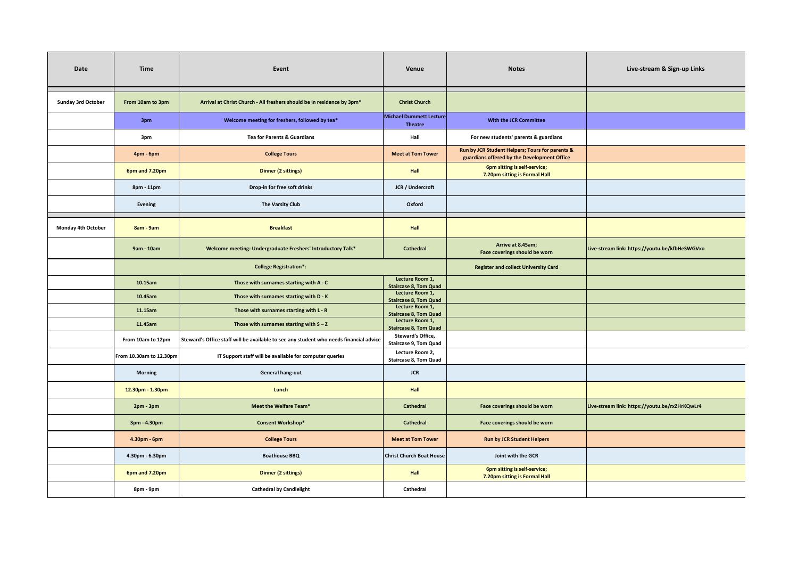| Date                      | Time                          | Event                                                                                  | Venue                                                    | <b>Notes</b>                                                                                   | Live-stream & Sign-up Links                    |
|---------------------------|-------------------------------|----------------------------------------------------------------------------------------|----------------------------------------------------------|------------------------------------------------------------------------------------------------|------------------------------------------------|
| <b>Sunday 3rd October</b> | From 10am to 3pm              | Arrival at Christ Church - All freshers should be in residence by 3pm*                 | <b>Christ Church</b>                                     |                                                                                                |                                                |
|                           | 3pm                           | Welcome meeting for freshers, followed by tea*                                         | <b>Michael Dummett Lecture</b><br><b>Theatre</b>         | With the JCR Committee                                                                         |                                                |
|                           | 3pm                           | <b>Tea for Parents &amp; Guardians</b>                                                 | Hall                                                     | For new students' parents & guardians                                                          |                                                |
|                           | 4pm - 6pm                     | <b>College Tours</b>                                                                   | <b>Meet at Tom Tower</b>                                 | Run by JCR Student Helpers; Tours for parents &<br>guardians offered by the Development Office |                                                |
|                           | 6pm and 7.20pm                | <b>Dinner (2 sittings)</b>                                                             | <b>Hall</b>                                              | 6pm sitting is self-service;<br>7.20pm sitting is Formal Hall                                  |                                                |
|                           | 8pm - 11pm                    | Drop-in for free soft drinks                                                           | JCR / Undercroft                                         |                                                                                                |                                                |
|                           | Evening                       | The Varsity Club                                                                       | Oxford                                                   |                                                                                                |                                                |
| <b>Monday 4th October</b> | 8am - 9am                     | <b>Breakfast</b>                                                                       | <b>Hall</b>                                              |                                                                                                |                                                |
|                           | 9am - 10am                    | Welcome meeting: Undergraduate Freshers' Introductory Talk*                            | Cathedral                                                | Arrive at 8.45am;<br>Face coverings should be worn                                             | Live-stream link: https://youtu.be/kfbHeSWGVxo |
|                           | <b>College Registration*:</b> |                                                                                        |                                                          | <b>Register and collect University Card</b>                                                    |                                                |
|                           | 10.15am                       | Those with surnames starting with A - C                                                | Lecture Room 1,<br><b>Staircase 8, Tom Quad</b>          |                                                                                                |                                                |
|                           | 10.45am                       | Those with surnames starting with D - K                                                | Lecture Room 1,<br><b>Staircase 8, Tom Quad</b>          |                                                                                                |                                                |
|                           | 11.15am                       | Those with surnames starting with L - R                                                | Lecture Room 1,<br><b>Staircase 8, Tom Quad</b>          |                                                                                                |                                                |
|                           | 11.45am                       | Those with surnames starting with $S - Z$                                              | Lecture Room 1,<br><b>Staircase 8, Tom Quad</b>          |                                                                                                |                                                |
|                           | From 10am to 12pm             | Steward's Office staff will be available to see any student who needs financial advice | <b>Steward's Office,</b><br><b>Staircase 9, Tom Quad</b> |                                                                                                |                                                |
|                           | From 10.30am to 12.30pm       | IT Support staff will be available for computer queries                                | Lecture Room 2,<br><b>Staircase 8, Tom Quad</b>          |                                                                                                |                                                |
|                           | <b>Morning</b>                | General hang-out                                                                       | <b>JCR</b>                                               |                                                                                                |                                                |
|                           | 12.30pm - 1.30pm              | Lunch                                                                                  | <b>Hall</b>                                              |                                                                                                |                                                |
|                           | 2pm - 3pm                     | Meet the Welfare Team*                                                                 | Cathedral                                                | Face coverings should be worn                                                                  | Live-stream link: https://youtu.be/rxZHrKQwLr4 |
|                           | 3pm - 4.30pm                  | <b>Consent Workshop*</b>                                                               | Cathedral                                                | Face coverings should be worn                                                                  |                                                |
|                           | 4.30pm - 6pm                  | <b>College Tours</b>                                                                   | <b>Meet at Tom Tower</b>                                 | <b>Run by JCR Student Helpers</b>                                                              |                                                |
|                           | 4.30pm - 6.30pm               | <b>Boathouse BBQ</b>                                                                   | <b>Christ Church Boat House</b>                          | Joint with the GCR                                                                             |                                                |
|                           | 6pm and 7.20pm                | <b>Dinner (2 sittings)</b>                                                             | <b>Hall</b>                                              | 6pm sitting is self-service;<br>7.20pm sitting is Formal Hall                                  |                                                |
|                           | 8pm - 9pm                     | <b>Cathedral by Candlelight</b>                                                        | Cathedral                                                |                                                                                                |                                                |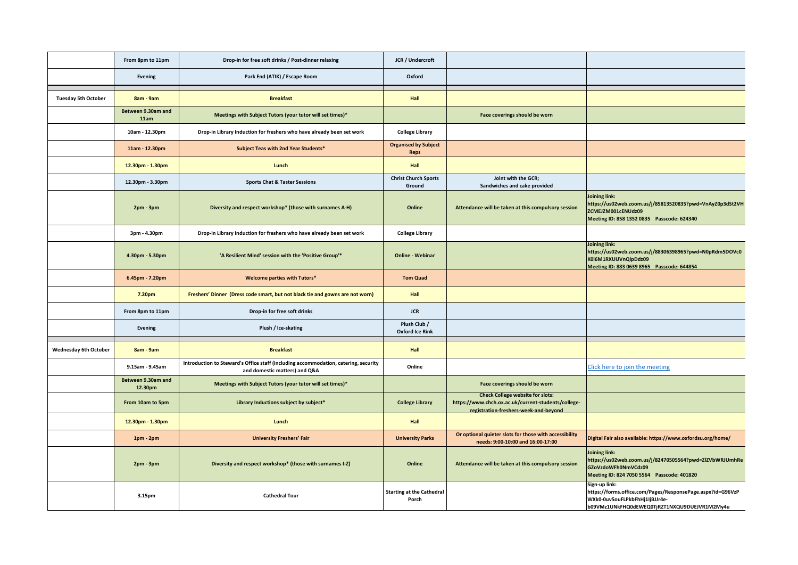|                              | From 8pm to 11pm              | Drop-in for free soft drinks / Post-dinner relaxing                                                                  | JCR / Undercroft                           |                                                                                                                                         |                                                                                                                                                               |
|------------------------------|-------------------------------|----------------------------------------------------------------------------------------------------------------------|--------------------------------------------|-----------------------------------------------------------------------------------------------------------------------------------------|---------------------------------------------------------------------------------------------------------------------------------------------------------------|
|                              | Evening                       | Park End (ATIK) / Escape Room                                                                                        | Oxford                                     |                                                                                                                                         |                                                                                                                                                               |
| <b>Tuesday 5th October</b>   | 8am - 9am                     | <b>Breakfast</b>                                                                                                     | <b>Hall</b>                                |                                                                                                                                         |                                                                                                                                                               |
|                              | Between 9.30am and<br>11am    | Meetings with Subject Tutors (your tutor will set times)*                                                            |                                            | Face coverings should be worn                                                                                                           |                                                                                                                                                               |
|                              | 10am - 12.30pm                | Drop-in Library Induction for freshers who have already been set work                                                | <b>College Library</b>                     |                                                                                                                                         |                                                                                                                                                               |
|                              | 11am - 12.30pm                | Subject Teas with 2nd Year Students*                                                                                 | <b>Organised by Subject</b><br><b>Reps</b> |                                                                                                                                         |                                                                                                                                                               |
|                              | 12.30pm - 1.30pm              | Lunch                                                                                                                | <b>Hall</b>                                |                                                                                                                                         |                                                                                                                                                               |
|                              | 12.30pm - 3.30pm              | <b>Sports Chat &amp; Taster Sessions</b>                                                                             | <b>Christ Church Sports</b><br>Ground      | Joint with the GCR;<br>Sandwiches and cake provided                                                                                     |                                                                                                                                                               |
|                              | $2pm - 3pm$                   | Diversity and respect workshop* (those with surnames A-H)                                                            | Online                                     | Attendance will be taken at this compulsory session                                                                                     | Joining link:<br>https://us02web.zoom.us/j/85813520835?pwd=VnAyZ0p3dSt2VH<br>ZCMEJZM001cENUdz09<br>Meeting ID: 858 1352 0835 Passcode: 624340                 |
|                              | 3pm - 4.30pm                  | Drop-in Library Induction for freshers who have already been set work                                                | <b>College Library</b>                     |                                                                                                                                         |                                                                                                                                                               |
|                              | 4.30pm - 5.30pm               | 'A Resilient Mind' session with the 'Positive Group'*                                                                | <b>Online - Webinar</b>                    |                                                                                                                                         | Joining link:<br>https://us02web.zoom.us/j/88306398965?pwd=N0pRdm5DOVc0<br>K0I6M1RXUUVnQlpDdz09<br>Meeting ID: 883 0639 8965 Passcode: 644854                 |
|                              | 6.45pm - 7.20pm               | <b>Welcome parties with Tutors*</b>                                                                                  | <b>Tom Quad</b>                            |                                                                                                                                         |                                                                                                                                                               |
|                              | 7.20pm                        | Freshers' Dinner (Dress code smart, but not black tie and gowns are not worn)                                        | <b>Hall</b>                                |                                                                                                                                         |                                                                                                                                                               |
|                              | From 8pm to 11pm              | Drop-in for free soft drinks                                                                                         | <b>JCR</b>                                 |                                                                                                                                         |                                                                                                                                                               |
|                              | Evening                       | Plush / Ice-skating                                                                                                  | Plush Club /<br><b>Oxford Ice Rink</b>     |                                                                                                                                         |                                                                                                                                                               |
| <b>Wednesday 6th October</b> | 8am - 9am                     | <b>Breakfast</b>                                                                                                     | <b>Hall</b>                                |                                                                                                                                         |                                                                                                                                                               |
|                              | 9.15am - 9.45am               | Introduction to Steward's Office staff (including accommodation, catering, security<br>and domestic matters) and Q&A | Online                                     |                                                                                                                                         | Click here to join the meeting                                                                                                                                |
|                              | Between 9.30am and<br>12.30pm | Meetings with Subject Tutors (your tutor will set times)*                                                            |                                            | Face coverings should be worn                                                                                                           |                                                                                                                                                               |
|                              | From 10am to 5pm              | Library Inductions subject by subject*                                                                               | <b>College Library</b>                     | <b>Check College website for slots:</b><br>https://www.chch.ox.ac.uk/current-students/college-<br>registration-freshers-week-and-beyond |                                                                                                                                                               |
|                              | 12.30pm - 1.30pm              | Lunch                                                                                                                | <b>Hall</b>                                |                                                                                                                                         |                                                                                                                                                               |
|                              | $1pm - 2pm$                   | <b>University Freshers' Fair</b>                                                                                     | <b>University Parks</b>                    | Or optional quieter slots for those with accessibility<br>needs: 9:00-10:00 and 16:00-17:00                                             | Digital Fair also available: https://www.oxfordsu.org/home/                                                                                                   |
|                              | $2pm - 3pm$                   | Diversity and respect workshop* (those with surnames I-Z)                                                            | Online                                     | Attendance will be taken at this compulsory session                                                                                     | Joining link:<br>https://us02web.zoom.us/j/82470505564?pwd=ZlZVbWRJUmhRe<br>GZoVzdoWFh0NmVCdz09<br>Meeting ID: 824 7050 5564 Passcode: 401820                 |
|                              | 3.15pm                        | <b>Cathedral Tour</b>                                                                                                | <b>Starting at the Cathedral</b><br>Porch  |                                                                                                                                         | Sign-up link:<br>https://forms.office.com/Pages/ResponsePage.aspx?id=G96VzP<br>WXk0-0uv5ouFLPkbFhHj1IjBJJr4e-<br>b09VMz1UNkFHQ0dEWEQ0TjRZT1NXQU9DUEJVR1M2My4u |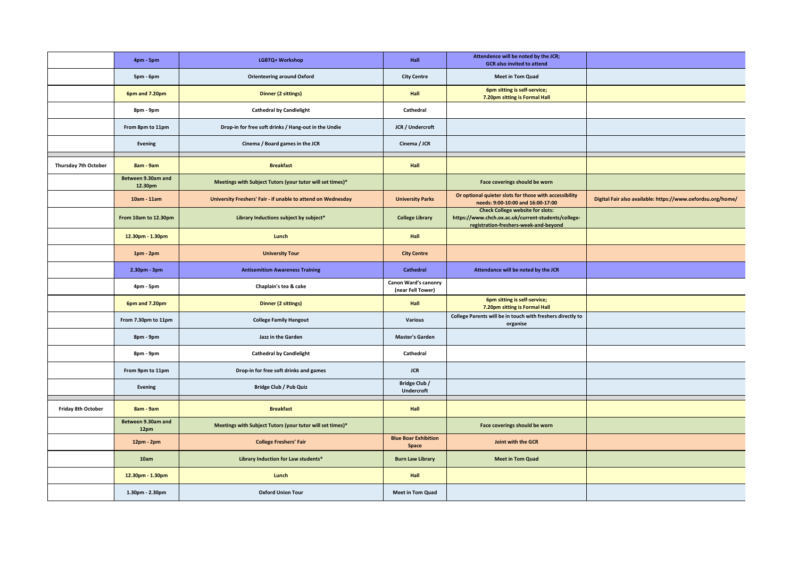|                      | 4pm - 5pm                     | LGBTQ+ Workshop                                              | Hall                                      | Attendence will be noted by the JCR;<br><b>GCR</b> also invited to attend                                                               |                                                             |
|----------------------|-------------------------------|--------------------------------------------------------------|-------------------------------------------|-----------------------------------------------------------------------------------------------------------------------------------------|-------------------------------------------------------------|
|                      | 5pm - 6pm                     | <b>Orienteering around Oxford</b>                            | <b>City Centre</b>                        | <b>Meet in Tom Quad</b>                                                                                                                 |                                                             |
|                      | 6pm and 7.20pm                | <b>Dinner (2 sittings)</b>                                   | <b>Hall</b>                               | 6pm sitting is self-service;<br>7.20pm sitting is Formal Hall                                                                           |                                                             |
|                      | 8pm - 9pm                     | <b>Cathedral by Candlelight</b>                              | Cathedral                                 |                                                                                                                                         |                                                             |
|                      | From 8pm to 11pm              | Drop-in for free soft drinks / Hang-out in the Undie         | JCR / Undercroft                          |                                                                                                                                         |                                                             |
|                      | <b>Evening</b>                | Cinema / Board games in the JCR                              | Cinema / JCR                              |                                                                                                                                         |                                                             |
| Thursday 7th October | 8am - 9am                     | <b>Breakfast</b>                                             | <b>Hall</b>                               |                                                                                                                                         |                                                             |
|                      | Between 9.30am and<br>12.30pm | Meetings with Subject Tutors (your tutor will set times)*    |                                           | Face coverings should be worn                                                                                                           |                                                             |
|                      | 10am - 11am                   | University Freshers' Fair - if unable to attend on Wednesday | <b>University Parks</b>                   | Or optional quieter slots for those with accessibility<br>needs: 9:00-10:00 and 16:00-17:00                                             | Digital Fair also available: https://www.oxfordsu.org/home/ |
|                      | From 10am to 12.30pm          | Library Inductions subject by subject*                       | <b>College Library</b>                    | <b>Check College website for slots:</b><br>https://www.chch.ox.ac.uk/current-students/college-<br>registration-freshers-week-and-beyond |                                                             |
|                      | 12.30pm - 1.30pm              | Lunch                                                        | <b>Hall</b>                               |                                                                                                                                         |                                                             |
|                      | $1pm - 2pm$                   | <b>University Tour</b>                                       | <b>City Centre</b>                        |                                                                                                                                         |                                                             |
|                      | 2.30pm - 3pm                  | <b>Antisemitism Awareness Training</b>                       | <b>Cathedral</b>                          | Attendance will be noted by the JCR                                                                                                     |                                                             |
|                      | 4pm - 5pm                     | Chaplain's tea & cake                                        | Canon Ward's canonry<br>(near Fell Tower) |                                                                                                                                         |                                                             |
|                      | 6pm and 7.20pm                | <b>Dinner (2 sittings)</b>                                   | <b>Hall</b>                               | 6pm sitting is self-service;<br>7.20pm sitting is Formal Hall                                                                           |                                                             |
|                      | From 7.30pm to 11pm           | <b>College Family Hangout</b>                                | <b>Various</b>                            | College Parents will be in touch with freshers directly to<br>organise                                                                  |                                                             |
|                      | 8pm - 9pm                     | Jazz in the Garden                                           | <b>Master's Garden</b>                    |                                                                                                                                         |                                                             |
|                      |                               |                                                              |                                           |                                                                                                                                         |                                                             |
|                      | 8pm - 9pm                     | <b>Cathedral by Candlelight</b>                              | Cathedral                                 |                                                                                                                                         |                                                             |
|                      | From 9pm to 11pm              | Drop-in for free soft drinks and games                       | <b>JCR</b>                                |                                                                                                                                         |                                                             |
|                      | <b>Evening</b>                | <b>Bridge Club / Pub Quiz</b>                                | Bridge Club /<br>Undercroft               |                                                                                                                                         |                                                             |
| Friday 8th October   | 8am - 9am                     | <b>Breakfast</b>                                             | <b>Hall</b>                               |                                                                                                                                         |                                                             |
|                      | Between 9.30am and<br>12pm    | Meetings with Subject Tutors (your tutor will set times)*    |                                           | Face coverings should be worn                                                                                                           |                                                             |
|                      | 12pm - 2pm                    | <b>College Freshers' Fair</b>                                | <b>Blue Boar Exhibition</b><br>Space      | Joint with the GCR                                                                                                                      |                                                             |
|                      | 10am                          | Library Induction for Law students*                          | <b>Burn Law Library</b>                   | <b>Meet in Tom Quad</b>                                                                                                                 |                                                             |
|                      | 12.30pm - 1.30pm              | Lunch                                                        | <b>Hall</b>                               |                                                                                                                                         |                                                             |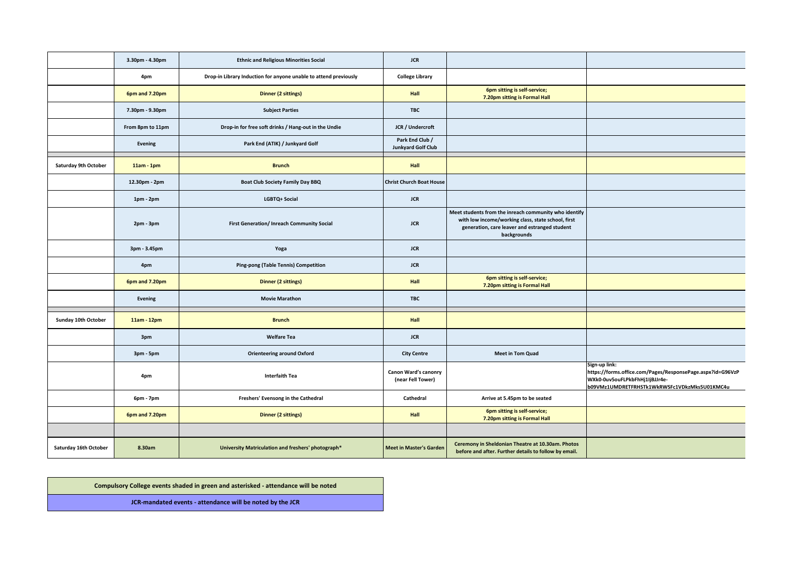|                       | 3.30pm - 4.30pm  | <b>Ethnic and Religious Minorities Social</b>                    | <b>JCR</b>                                   |                                                                                                                                                                             |                                                                                                                                                               |
|-----------------------|------------------|------------------------------------------------------------------|----------------------------------------------|-----------------------------------------------------------------------------------------------------------------------------------------------------------------------------|---------------------------------------------------------------------------------------------------------------------------------------------------------------|
|                       | 4pm              | Drop-in Library Induction for anyone unable to attend previously | <b>College Library</b>                       |                                                                                                                                                                             |                                                                                                                                                               |
|                       | 6pm and 7.20pm   | <b>Dinner (2 sittings)</b>                                       | <b>Hall</b>                                  | 6pm sitting is self-service;<br>7.20pm sitting is Formal Hall                                                                                                               |                                                                                                                                                               |
|                       | 7.30pm - 9.30pm  | <b>Subject Parties</b>                                           | <b>TBC</b>                                   |                                                                                                                                                                             |                                                                                                                                                               |
|                       | From 8pm to 11pm | Drop-in for free soft drinks / Hang-out in the Undie             | JCR / Undercroft                             |                                                                                                                                                                             |                                                                                                                                                               |
|                       | Evening          | Park End (ATIK) / Junkyard Golf                                  | Park End Club /<br><b>Junkyard Golf Club</b> |                                                                                                                                                                             |                                                                                                                                                               |
| Saturday 9th October  | $11am - 1pm$     | <b>Brunch</b>                                                    | <b>Hall</b>                                  |                                                                                                                                                                             |                                                                                                                                                               |
|                       | 12.30pm - 2pm    | <b>Boat Club Society Family Day BBQ</b>                          | <b>Christ Church Boat House</b>              |                                                                                                                                                                             |                                                                                                                                                               |
|                       | $1pm - 2pm$      | LGBTQ+ Social                                                    | <b>JCR</b>                                   |                                                                                                                                                                             |                                                                                                                                                               |
|                       | $2pm - 3pm$      | First Generation/ Inreach Community Social                       | <b>JCR</b>                                   | Meet students from the inreach community who identify<br>with low income/working class, state school, first<br>generation, care leaver and estranged student<br>backgrounds |                                                                                                                                                               |
|                       | 3pm - 3.45pm     | Yoga                                                             | <b>JCR</b>                                   |                                                                                                                                                                             |                                                                                                                                                               |
|                       | 4pm              | <b>Ping-pong (Table Tennis) Competition</b>                      | <b>JCR</b>                                   |                                                                                                                                                                             |                                                                                                                                                               |
|                       | 6pm and 7.20pm   | <b>Dinner (2 sittings)</b>                                       | <b>Hall</b>                                  | 6pm sitting is self-service;<br>7.20pm sitting is Formal Hall                                                                                                               |                                                                                                                                                               |
|                       | <b>Evening</b>   | <b>Movie Marathon</b>                                            | <b>TBC</b>                                   |                                                                                                                                                                             |                                                                                                                                                               |
| Sunday 10th October   | $11am - 12pm$    | <b>Brunch</b>                                                    | <b>Hall</b>                                  |                                                                                                                                                                             |                                                                                                                                                               |
|                       | 3pm              | <b>Welfare Tea</b>                                               | <b>JCR</b>                                   |                                                                                                                                                                             |                                                                                                                                                               |
|                       | 3pm - 5pm        | <b>Orienteering around Oxford</b>                                | <b>City Centre</b>                           | <b>Meet in Tom Quad</b>                                                                                                                                                     |                                                                                                                                                               |
|                       | 4pm              | Interfaith Tea                                                   | Canon Ward's canonry<br>(near Fell Tower)    |                                                                                                                                                                             | Sign-up link:<br>https://forms.office.com/Pages/ResponsePage.aspx?id=G96VzP<br>WXk0-0uv5ouFLPkbFhHj1IjBJJr4e-<br>b09VMz1UMDRETFRHSTk1WkRWSFc1VDkzMks5U01KMC4u |
|                       | 6pm - 7pm        | Freshers' Evensong in the Cathedral                              | Cathedral                                    | Arrive at 5.45pm to be seated                                                                                                                                               |                                                                                                                                                               |
|                       | 6pm and 7.20pm   | <b>Dinner (2 sittings)</b>                                       | <b>Hall</b>                                  | 6pm sitting is self-service;<br>7.20pm sitting is Formal Hall                                                                                                               |                                                                                                                                                               |
|                       |                  |                                                                  |                                              |                                                                                                                                                                             |                                                                                                                                                               |
| Saturday 16th October | 8.30am           | University Matriculation and freshers' photograph*               | <b>Meet in Master's Garden</b>               | Ceremony in Sheldonian Theatre at 10.30am. Photos<br>before and after. Further details to follow by email.                                                                  |                                                                                                                                                               |

**Compulsory College events shaded in green and asterisked - attendance will be noted**

**JCR-mandated events - attendance will be noted by the JCR**